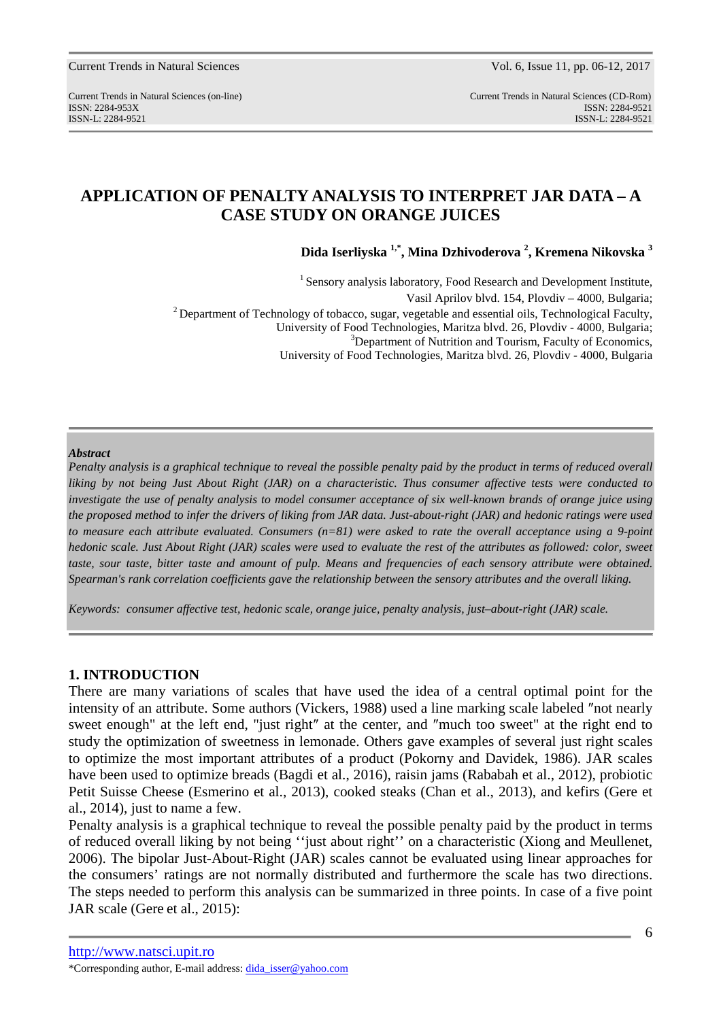Current Trends in Natural Sciences (on-line) Current Trends in Natural Sciences (CD-Rom) ISSN: 2284-953XISSN: 2284-9521 ISSN-L: 2284-9521 ISSN-L: 2284-9521

# **APPLICATION OF PENALTY ANALYSIS TO INTERPRET JAR DATA – A CASE STUDY ON ORANGE JUICES**

**Dida Iserliyska 1,\*, Mina Dzhivoderova <sup>2</sup> , Kremena Nikovska <sup>3</sup>**

 $1$  Sensory analysis laboratory, Food Research and Development Institute, Vasil Aprilov blvd. 154, Plovdiv – 4000, Bulgaria; <sup>2</sup> Department of Technology of tobacco, sugar, vegetable and essential oils, Technological Faculty, University of Food Technologies, Maritza blvd. 26, Plovdiv - 4000, Bulgaria; <sup>3</sup>Department of Nutrition and Tourism, Faculty of Economics, University of Food Technologies, Maritza blvd. 26, Plovdiv - 4000, Bulgaria

#### *Abstract*

*Penalty analysis is a graphical technique to reveal the possible penalty paid by the product in terms of reduced overall liking by not being Just About Right (JAR) on a characteristic. Thus consumer affective tests were conducted to investigate the use of penalty analysis to model consumer acceptance of six well-known brands of orange juice using the proposed method to infer the drivers of liking from JAR data. Just-about-right (JAR) and hedonic ratings were used to measure each attribute evaluated. Consumers (n=81) were asked to rate the overall acceptance using a 9-point hedonic scale. Just About Right (JAR) scales were used to evaluate the rest of the attributes as followed: color, sweet taste, sour taste, bitter taste and amount of pulp. Means and frequencies of each sensory attribute were obtained. Spearman's rank correlation coefficients gave the relationship between the sensory attributes and the overall liking.* 

*Keywords: consumer affective test, hedonic scale, orange juice, penalty analysis, just–about-right (JAR) scale.* 

### **1. INTRODUCTION**

There are many variations of scales that have used the idea of a central optimal point for the intensity of an attribute. Some authors (Vickers, 1988) used a line marking scale labeled ″not nearly sweet enough" at the left end, "just right″ at the center, and ″much too sweet" at the right end to study the optimization of sweetness in lemonade. Others gave examples of several just right scales to optimize the most important attributes of a product (Pokorny and Davidek, 1986). JAR scales have been used to optimize breads (Bagdi et al., 2016), raisin jams (Rababah et al., 2012), probiotic Petit Suisse Cheese (Esmerino et al., 2013), cooked steaks (Chan et al., 2013), and kefirs (Gere et al., 2014), just to name a few.

Penalty analysis is a graphical technique to reveal the possible penalty paid by the product in terms of reduced overall liking by not being ''just about right'' on a characteristic (Xiong and Meullenet, 2006). The bipolar Just-About-Right (JAR) scales cannot be evaluated using linear approaches for the consumers' ratings are not normally distributed and furthermore the scale has two directions. The steps needed to perform this analysis can be summarized in three points. In case of a five point JAR scale (Gere et al., 2015):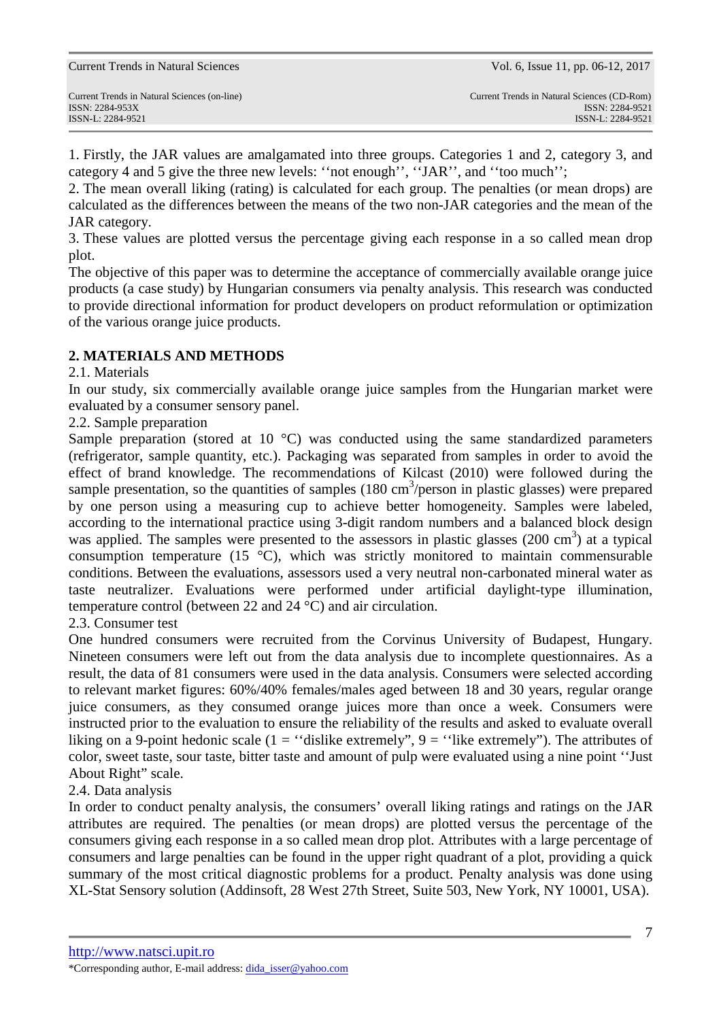1. Firstly, the JAR values are amalgamated into three groups. Categories 1 and 2, category 3, and category 4 and 5 give the three new levels: ''not enough'', ''JAR'', and ''too much'';

2. The mean overall liking (rating) is calculated for each group. The penalties (or mean drops) are calculated as the differences between the means of the two non-JAR categories and the mean of the JAR category.

3. These values are plotted versus the percentage giving each response in a so called mean drop plot.

The objective of this paper was to determine the acceptance of commercially available orange juice products (a case study) by Hungarian consumers via penalty analysis. This research was conducted to provide directional information for product developers on product reformulation or optimization of the various orange juice products.

# **2. MATERIALS AND METHODS**

## 2.1. Materials

In our study, six commercially available orange juice samples from the Hungarian market were evaluated by a consumer sensory panel.

## 2.2. Sample preparation

Sample preparation (stored at 10 °C) was conducted using the same standardized parameters (refrigerator, sample quantity, etc.). Packaging was separated from samples in order to avoid the effect of brand knowledge. The recommendations of Kilcast (2010) were followed during the sample presentation, so the quantities of samples  $(180 \text{ cm}^3/\text{person}$  in plastic glasses) were prepared by one person using a measuring cup to achieve better homogeneity. Samples were labeled, according to the international practice using 3-digit random numbers and a balanced block design was applied. The samples were presented to the assessors in plastic glasses (200 cm<sup>3</sup>) at a typical consumption temperature (15  $^{\circ}$ C), which was strictly monitored to maintain commensurable conditions. Between the evaluations, assessors used a very neutral non-carbonated mineral water as taste neutralizer. Evaluations were performed under artificial daylight-type illumination, temperature control (between 22 and 24 °C) and air circulation.

### 2.3. Consumer test

One hundred consumers were recruited from the Corvinus University of Budapest, Hungary. Nineteen consumers were left out from the data analysis due to incomplete questionnaires. As a result, the data of 81 consumers were used in the data analysis. Consumers were selected according to relevant market figures: 60%/40% females/males aged between 18 and 30 years, regular orange juice consumers, as they consumed orange juices more than once a week. Consumers were instructed prior to the evaluation to ensure the reliability of the results and asked to evaluate overall liking on a 9-point hedonic scale (1 = "dislike extremely", 9 = "like extremely"). The attributes of color, sweet taste, sour taste, bitter taste and amount of pulp were evaluated using a nine point ''Just About Right" scale.

# 2.4. Data analysis

In order to conduct penalty analysis, the consumers' overall liking ratings and ratings on the JAR attributes are required. The penalties (or mean drops) are plotted versus the percentage of the consumers giving each response in a so called mean drop plot. Attributes with a large percentage of consumers and large penalties can be found in the upper right quadrant of a plot, providing a quick summary of the most critical diagnostic problems for a product. Penalty analysis was done using XL-Stat Sensory solution (Addinsoft, 28 West 27th Street, Suite 503, New York, NY 10001, USA).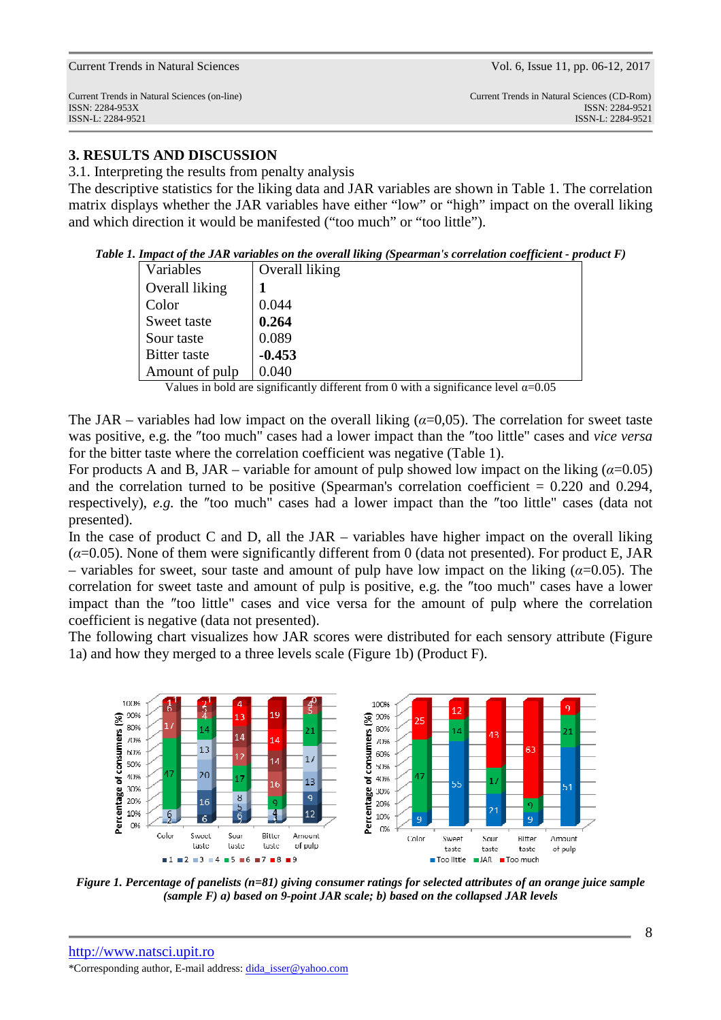# **3. RESULTS AND DISCUSSION**

3.1. Interpreting the results from penalty analysis

The descriptive statistics for the liking data and JAR variables are shown in Table 1. The correlation matrix displays whether the JAR variables have either "low" or "high" impact on the overall liking and which direction it would be manifested ("too much" or "too little").

*Table 1. Impact of the JAR variables on the overall liking (Spearman's correlation coefficient - product F)* 

| Variables           | Overall liking |
|---------------------|----------------|
| Overall liking      |                |
| Color               | 0.044          |
| Sweet taste         | 0.264          |
| Sour taste          | 0.089          |
| <b>Bitter</b> taste | $-0.453$       |
| Amount of pulp      | 0.040          |

Values in bold are significantly different from 0 with a significance level  $\alpha$ =0.05

The JAR – variables had low impact on the overall liking  $(\alpha=0.05)$ . The correlation for sweet taste was positive, e.g. the ″too much" cases had a lower impact than the ″too little" cases and *vice versa* for the bitter taste where the correlation coefficient was negative (Table 1).

For products A and B, JAR – variable for amount of pulp showed low impact on the liking  $(a=0.05)$ and the correlation turned to be positive (Spearman's correlation coefficient  $= 0.220$  and 0.294, respectively), *e.g.* the ″too much" cases had a lower impact than the ″too little" cases (data not presented).

In the case of product C and D, all the  $JAR - \nu\alpha$  have higher impact on the overall liking (*α*=0.05). None of them were significantly different from 0 (data not presented). For product E, JAR – variables for sweet, sour taste and amount of pulp have low impact on the liking ( $\alpha$ =0.05). The correlation for sweet taste and amount of pulp is positive, e.g. the ″too much" cases have a lower impact than the ″too little" cases and vice versa for the amount of pulp where the correlation coefficient is negative (data not presented).

The following chart visualizes how JAR scores were distributed for each sensory attribute (Figure 1a) and how they merged to a three levels scale (Figure 1b) (Product F).



*Figure 1. Percentage of panelists (n=81) giving consumer ratings for selected attributes of an orange juice sample (sample F) a) based on 9-point JAR scale; b) based on the collapsed JAR levels*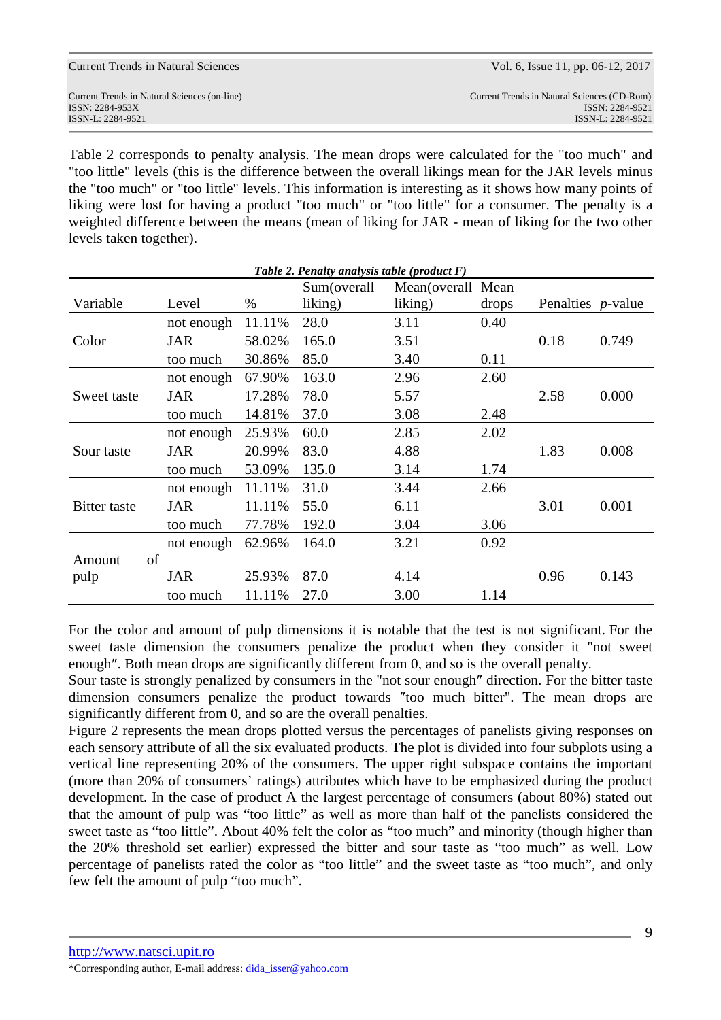| Current Trends in Natural Sciences           | Vol. 6, Issue 11, pp. 06-12, 2017           |
|----------------------------------------------|---------------------------------------------|
| Current Trends in Natural Sciences (on-line) | Current Trends in Natural Sciences (CD-Rom) |
| ISSN: 2284-953X                              | ISSN: 2284-9521                             |
| ISSN-L: 2284-9521                            | ISSN-L: 2284-9521                           |

Table 2 corresponds to penalty analysis. The mean drops were calculated for the "too much" and "too little" levels (this is the difference between the overall likings mean for the JAR levels minus the "too much" or "too little" levels. This information is interesting as it shows how many points of liking were lost for having a product "too much" or "too little" for a consumer. The penalty is a weighted difference between the means (mean of liking for JAR - mean of liking for the two other levels taken together).

| Table 2. Penalty analysis table (product $F$ ) |            |        |             |                    |       |                           |       |  |  |  |
|------------------------------------------------|------------|--------|-------------|--------------------|-------|---------------------------|-------|--|--|--|
|                                                |            |        | Sum(overall | Mean(overall Mean) |       |                           |       |  |  |  |
| Variable                                       | Level      | $\%$   | liking)     | liking)            | drops | Penalties <i>p</i> -value |       |  |  |  |
| Color                                          | not enough | 11.11% | 28.0        | 3.11               | 0.40  |                           |       |  |  |  |
|                                                | <b>JAR</b> | 58.02% | 165.0       | 3.51               |       | 0.18                      | 0.749 |  |  |  |
|                                                | too much   | 30.86% | 85.0        | 3.40               | 0.11  |                           |       |  |  |  |
| Sweet taste                                    | not enough | 67.90% | 163.0       | 2.96               | 2.60  |                           |       |  |  |  |
|                                                | <b>JAR</b> | 17.28% | 78.0        | 5.57               |       | 2.58                      | 0.000 |  |  |  |
|                                                | too much   | 14.81% | 37.0        | 3.08               | 2.48  |                           |       |  |  |  |
| Sour taste                                     | not enough | 25.93% | 60.0        | 2.85               | 2.02  |                           |       |  |  |  |
|                                                | <b>JAR</b> | 20.99% | 83.0        | 4.88               |       | 1.83                      | 0.008 |  |  |  |
|                                                | too much   | 53.09% | 135.0       | 3.14               | 1.74  |                           |       |  |  |  |
| Bitter taste                                   | not enough | 11.11% | 31.0        | 3.44               | 2.66  |                           |       |  |  |  |
|                                                | <b>JAR</b> | 11.11% | 55.0        | 6.11               |       | 3.01                      | 0.001 |  |  |  |
|                                                | too much   | 77.78% | 192.0       | 3.04               | 3.06  |                           |       |  |  |  |
|                                                | not enough | 62.96% | 164.0       | 3.21               | 0.92  |                           |       |  |  |  |
| of<br>Amount                                   |            |        |             |                    |       |                           |       |  |  |  |
| pulp                                           | JAR        | 25.93% | 87.0        | 4.14               |       | 0.96                      | 0.143 |  |  |  |
|                                                | too much   | 11.11% | 27.0        | 3.00               | 1.14  |                           |       |  |  |  |

For the color and amount of pulp dimensions it is notable that the test is not significant. For the sweet taste dimension the consumers penalize the product when they consider it "not sweet enough″. Both mean drops are significantly different from 0, and so is the overall penalty.

Sour taste is strongly penalized by consumers in the "not sour enough″ direction. For the bitter taste dimension consumers penalize the product towards ″too much bitter". The mean drops are significantly different from 0, and so are the overall penalties.

Figure 2 represents the mean drops plotted versus the percentages of panelists giving responses on each sensory attribute of all the six evaluated products. The plot is divided into four subplots using a vertical line representing 20% of the consumers. The upper right subspace contains the important (more than 20% of consumers' ratings) attributes which have to be emphasized during the product development. In the case of product A the largest percentage of consumers (about 80%) stated out that the amount of pulp was "too little" as well as more than half of the panelists considered the sweet taste as "too little". About 40% felt the color as "too much" and minority (though higher than the 20% threshold set earlier) expressed the bitter and sour taste as "too much" as well. Low percentage of panelists rated the color as "too little" and the sweet taste as "too much", and only few felt the amount of pulp "too much".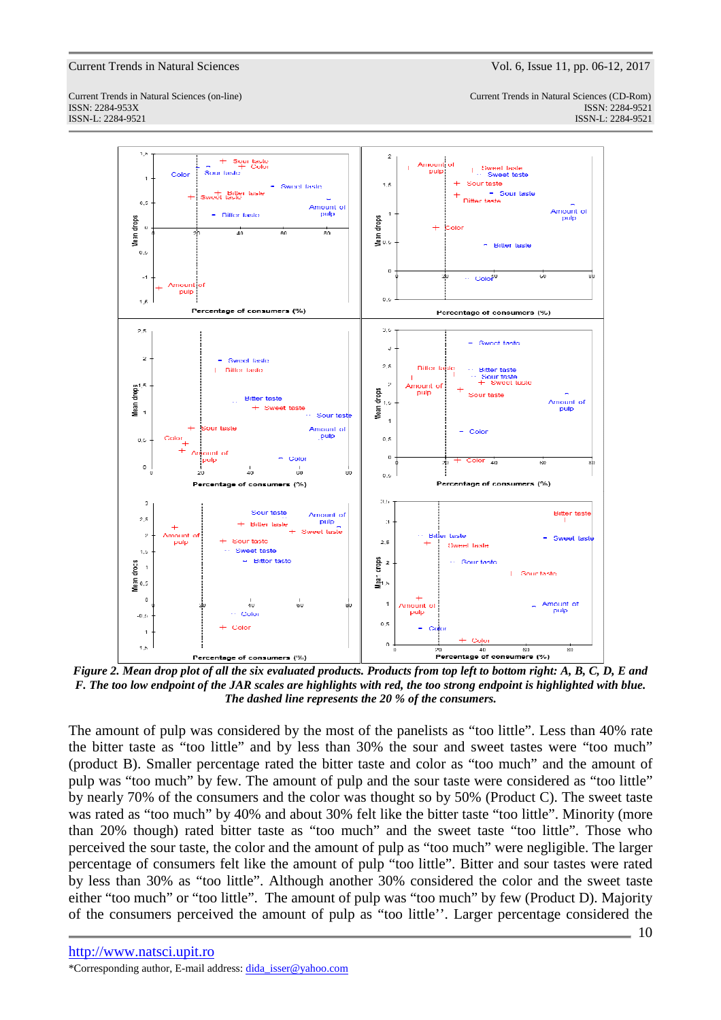Current Trends in Natural Sciences (on-line) Current Trends in Natural Sciences (CD-Rom) ISSN: 2284-953XISSN: 2284-9521 ISSN-L: 2284-9521 ISSN-L: 2284-9521



*Figure 2. Mean drop plot of all the six evaluated products. Products from top left to bottom right: A, B, C, D, E and F. The too low endpoint of the JAR scales are highlights with red, the too strong endpoint is highlighted with blue. The dashed line represents the 20 % of the consumers.* 

The amount of pulp was considered by the most of the panelists as "too little". Less than 40% rate the bitter taste as "too little" and by less than 30% the sour and sweet tastes were "too much" (product B). Smaller percentage rated the bitter taste and color as "too much" and the amount of pulp was "too much" by few. The amount of pulp and the sour taste were considered as "too little" by nearly 70% of the consumers and the color was thought so by 50% (Product C). The sweet taste was rated as "too much" by 40% and about 30% felt like the bitter taste "too little". Minority (more than 20% though) rated bitter taste as "too much" and the sweet taste "too little". Those who perceived the sour taste, the color and the amount of pulp as "too much" were negligible. The larger percentage of consumers felt like the amount of pulp "too little". Bitter and sour tastes were rated by less than 30% as "too little". Although another 30% considered the color and the sweet taste either "too much" or "too little". The amount of pulp was "too much" by few (Product D). Majority of the consumers perceived the amount of pulp as "too little''. Larger percentage considered the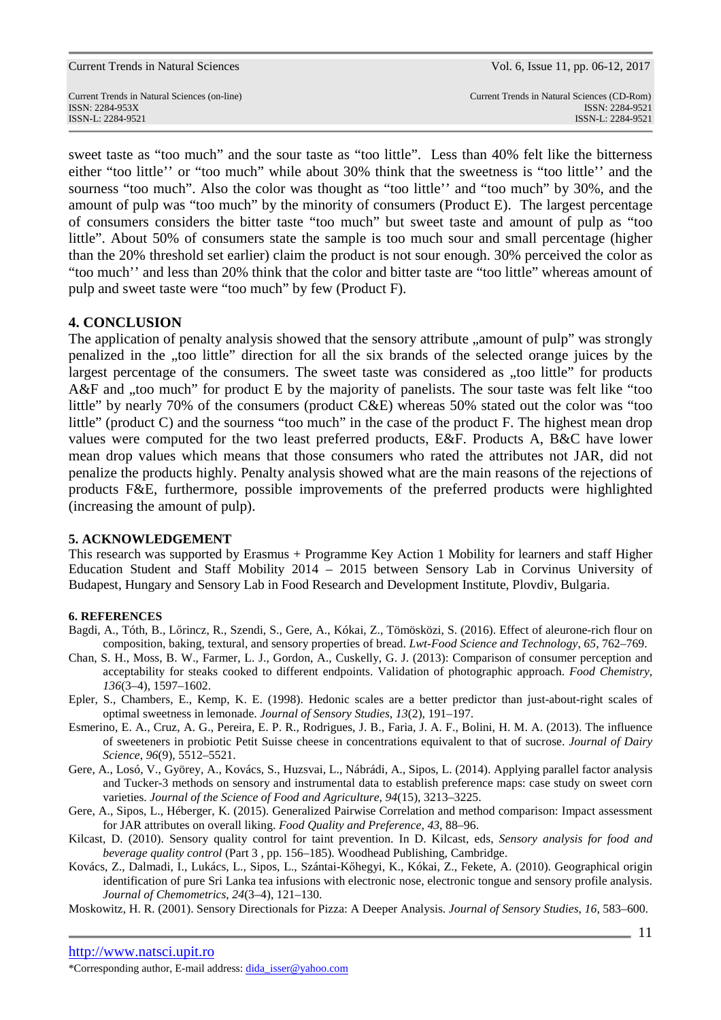Current Trends in Natural Sciences (on-line) Current Trends in Natural Sciences (CD-Rom) ISSN: 2284-953XISSN: 2284-9521 ISSN-L: 2284-9521 ISSN-L: 2284-9521

sweet taste as "too much" and the sour taste as "too little". Less than 40% felt like the bitterness either "too little'' or "too much" while about 30% think that the sweetness is "too little'' and the sourness "too much". Also the color was thought as "too little'' and "too much" by 30%, and the amount of pulp was "too much" by the minority of consumers (Product E). The largest percentage of consumers considers the bitter taste "too much" but sweet taste and amount of pulp as "too little". About 50% of consumers state the sample is too much sour and small percentage (higher than the 20% threshold set earlier) claim the product is not sour enough. 30% perceived the color as "too much'' and less than 20% think that the color and bitter taste are "too little" whereas amount of pulp and sweet taste were "too much" by few (Product F).

### **4. CONCLUSION**

The application of penalty analysis showed that the sensory attribute ..amount of pulp" was strongly penalized in the "too little" direction for all the six brands of the selected orange juices by the largest percentage of the consumers. The sweet taste was considered as "too little" for products A&F and , too much" for product E by the majority of panelists. The sour taste was felt like "too little" by nearly 70% of the consumers (product C&E) whereas 50% stated out the color was "too little" (product C) and the sourness "too much" in the case of the product F. The highest mean drop values were computed for the two least preferred products, E&F. Products A, B&C have lower mean drop values which means that those consumers who rated the attributes not JAR, did not penalize the products highly. Penalty analysis showed what are the main reasons of the rejections of products F&E, furthermore, possible improvements of the preferred products were highlighted (increasing the amount of pulp).

#### **5. ACKNOWLEDGEMENT**

This research was supported by Erasmus + Programme Key Action 1 Mobility for learners and staff Higher Education Student and Staff Mobility 2014 – 2015 between Sensory Lab in Corvinus University of Budapest, Hungary and Sensory Lab in Food Research and Development Institute, Plovdiv, Bulgaria.

#### **6. REFERENCES**

- Bagdi, A., Tóth, B., Lőrincz, R., Szendi, S., Gere, A., Kókai, Z., Tömösközi, S. (2016). Effect of aleurone-rich flour on composition, baking, textural, and sensory properties of bread. *Lwt-Food Science and Technology*, *65*, 762–769.
- Chan, S. H., Moss, B. W., Farmer, L. J., Gordon, A., Cuskelly, G. J. (2013): Comparison of consumer perception and acceptability for steaks cooked to different endpoints. Validation of photographic approach. *Food Chemistry*, *136*(3–4), 1597–1602.
- Epler, S., Chambers, E., Kemp, K. E. (1998). Hedonic scales are a better predictor than just-about-right scales of optimal sweetness in lemonade. *Journal of Sensory Studies*, *13*(2), 191–197.
- Esmerino, E. A., Cruz, A. G., Pereira, E. P. R., Rodrigues, J. B., Faria, J. A. F., Bolini, H. M. A. (2013). The influence of sweeteners in probiotic Petit Suisse cheese in concentrations equivalent to that of sucrose. *Journal of Dairy Science*, *96*(9), 5512–5521.
- Gere, A., Losó, V., Györey, A., Kovács, S., Huzsvai, L., Nábrádi, A., Sipos, L. (2014). Applying parallel factor analysis and Tucker-3 methods on sensory and instrumental data to establish preference maps: case study on sweet corn varieties. *Journal of the Science of Food and Agriculture*, *94*(15), 3213–3225.
- Gere, A., Sipos, L., Héberger, K. (2015). Generalized Pairwise Correlation and method comparison: Impact assessment for JAR attributes on overall liking. *Food Quality and Preference*, *43*, 88–96.
- Kilcast, D. (2010). Sensory quality control for taint prevention. In D. Kilcast, eds, *Sensory analysis for food and beverage quality control* (Part 3 , pp. 156–185). Woodhead Publishing, Cambridge.
- Kovács, Z., Dalmadi, I., Lukács, L., Sipos, L., Szántai-Kőhegyi, K., Kókai, Z., Fekete, A. (2010). Geographical origin identification of pure Sri Lanka tea infusions with electronic nose, electronic tongue and sensory profile analysis. *Journal of Chemometrics*, *24*(3–4), 121–130.
- Moskowitz, H. R. (2001). Sensory Directionals for Pizza: A Deeper Analysis. *Journal of Sensory Studies*, *16*, 583–600.